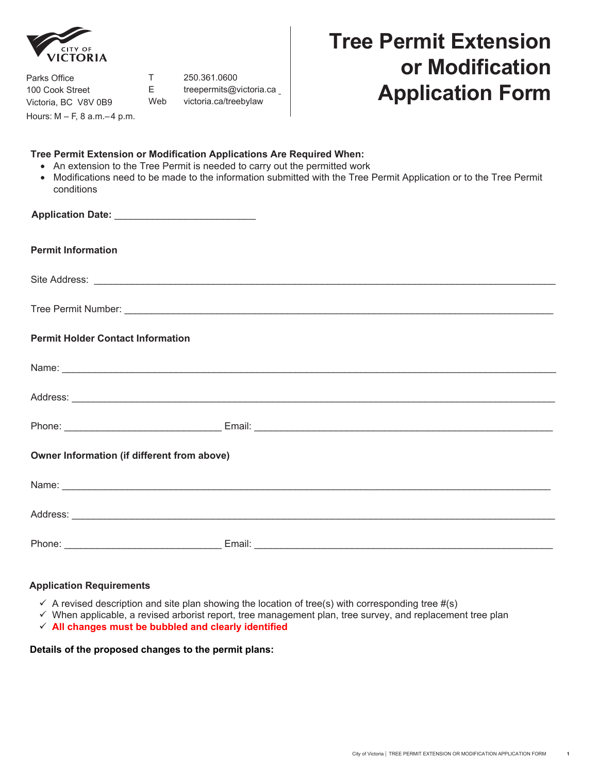

Parks Office 100 Cook Street Victoria, BC V8V 0B9 Hours: M – F, 8 a.m.– 4 p.m.

T 250.361.0600 [E treepermits@victoria.ca](mailto:treepermits%40victoria.ca?subject=Tree%20Permit%20Application%20Form) 

# **Tree Permit Extension or Modification Application Form Application**  Web [victoria.ca/treebylaw](https://www.victoria.ca/EN/main/residents/parks/urban-forest/tree-preservation-bylaw.html) **Format Web victoria.ca/treebylaw**

## **Tree Permit Extension or Modification Applications Are Required When:**

- An extension to the Tree Permit is needed to carry out the permitted work
- Modifications need to be made to the information submitted with the Tree Permit Application or to the Tree Permit conditions

| <b>Permit Information</b>                   |  |  |
|---------------------------------------------|--|--|
|                                             |  |  |
|                                             |  |  |
| <b>Permit Holder Contact Information</b>    |  |  |
|                                             |  |  |
|                                             |  |  |
|                                             |  |  |
| Owner Information (if different from above) |  |  |
|                                             |  |  |
|                                             |  |  |
|                                             |  |  |

## **Application Requirements**

- $\checkmark$  A revised description and site plan showing the location of tree(s) with corresponding tree #(s)
- $\checkmark$  When applicable, a revised arborist report, tree management plan, tree survey, and replacement tree plan
- **All changes must be bubbled and clearly identified**

**Details of the proposed changes to the permit plans:**

**1**